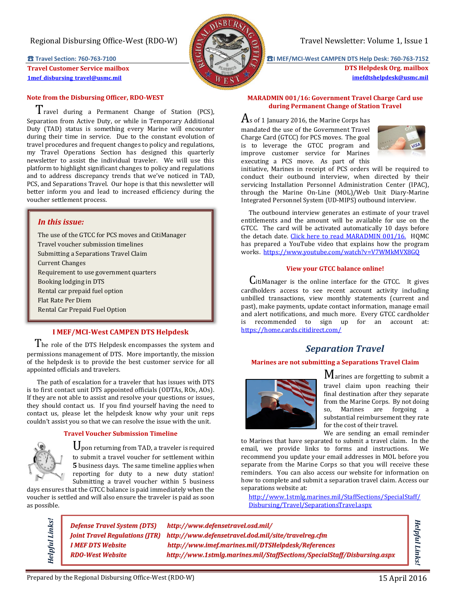## Regional Disbursing Office-West (RDO-W) Travel Newsletter: Volume 1, Issue 1

**Travel Customer Service mailbox [1mef\\_disbursing\\_travel@usmc.mil](mailto:1mef_disbursing_travel@usmc.mil)**

### **Note from the Disbursing Officer, RDO-WEST**

 Travel during a Permanent Change of Station (PCS), Separation from Active Duty, or while in Temporary Additional Duty (TAD) status is something every Marine will encounter during their time in service. Due to the constant evolution of travel procedures and frequent changes to policy and regulations, my Travel Operations Section has designed this quarterly newsletter to assist the individual traveler. We will use this platform to highlight significant changes to policy and regulations and to address discrepancy trends that we've noticed in TAD, PCS, and Separations Travel. Our hope is that this newsletter will better inform you and lead to increased efficiency during the voucher settlement process.

## *In this issue:*

The use of the GTCC for PCS moves and CitiManager Travel voucher submission timelines Submitting a Separations Travel Claim Current Changes Requirement to use government quarters Booking lodging in DTS Rental car prepaid fuel option Flat Rate Per Diem Rental Car Prepaid Fuel Option

# **I MEF/MCI-West CAMPEN DTS Helpdesk**

The role of the DTS Helpdesk encompasses the system and permissions management of DTS. More importantly, the mission of the helpdesk is to provide the best customer service for all appointed officials and travelers.

 The path of escalation for a traveler that has issues with DTS is to first contact unit DTS appointed officials (ODTAs, ROs, AOs). If they are not able to assist and resolve your questions or issues, they should contact us. If you find yourself having the need to contact us, please let the helpdesk know why your unit reps couldn't assist you so that we can resolve the issue with the unit.

#### **Travel Voucher Submission Timeline**

Upon returning from TAD, a traveler is required to submit a travel voucher for settlement within **5** business days. The same timeline applies when reporting for duty to a new duty station! Submitting a travel voucher within 5 business

days ensures that the GTCC balance is paid immediately when the voucher is settled and will also ensure the traveler is paid as soon as possible.

*Helpful Links!*

Helpful Links!

*[Defense Travel System](http://www.defensetravel.osd.mil/) (DTS) http://www.defensetravel.osd.mil/ [Joint Travel Regulations \(](http://www.defensetravel.dod.mil/site/travelreg.cfm)JTR) http://www.defensetravel.dod.mil/site/travelreg.cfm [I MEF DTS](http://www.imef.marines.mil/DTSHelpdesk/References) Website http://www.imef.marines.mil/DTSHelpdesk/References [RDO-West Website](http://www.1stmlg.marines.mil/StaffSections/SpecialStaff/Disbursing.aspx) http://www.1stmlg.marines.mil/StaffSections/SpecialStaff/Disbursing.aspx*

☎ **Travel Section: 760-763-7100** ☎**I MEF/MCI-West CAMPEN DTS Help Desk: 760-763-7152**

**DTS Helpdesk Org. mailbox [imefdtshelpdesk@usmc.mil](mailto:imefdtshelpdesk@usmc.mil)**

#### **MARADMIN 001/16: Government Travel Charge Card use during Permanent Change of Station Travel**

 $\rm A$ s of 1 January 2016, the Marine Corps has mandated the use of the Government Travel Charge Card (GTCC) for PCS moves. The goal is to leverage the GTCC program and improve customer service for Marines executing a PCS move. As part of this



initiative, Marines in receipt of PCS orders will be required to conduct their outbound interview, when directed by their servicing Installation Personnel Administration Center (IPAC), through the Marine On-Line (MOL)/Web Unit Diary-Marine Integrated Personnel System (UD-MIPS) outbound interview.

 The outbound interview generates an estimate of your travel entitlements and the amount will be available for use on the GTCC. The card will be activated automatically 10 days before the detach date. Click here to read [MARADMIN 001/16.](http://www.marines.mil/News/Messages/MessagesDisplay/tabid/13286/Article/175706/government-travel-charge-card-use-during-permanent-change-of-station-travel.aspx) HQMC has prepared a YouTube video that explains how the program works. <https://www.youtube.com/watch?v=V7WMkMVX8GQ>

#### **View your GTCC balance online!**

 CitiManager is the online interface for the GTCC. It gives cardholders access to see recent account activity including unbilled transactions, view monthly statements (current and past), make payments, update contact information, manage email and alert notifications, and much more. Every GTCC cardholder is recommended to sign up for an account at: <https://home.cards.citidirect.com/>

# *Separation Travel*

#### **Marines are not submitting a Separations Travel Claim**



Marines are forgetting to submit a travel claim upon reaching their final destination after they separate from the Marine Corps. By not doing so, Marines are forgoing a substantial reimbursement they rate for the cost of their travel.

We are sending an email reminder

to Marines that have separated to submit a travel claim. In the email, we provide links to forms and instructions. We recommend you update your email addresses in MOL before you separate from the Marine Corps so that you will receive these reminders. You can also access our website for information on how to complete and submit a separation travel claim. Access our separations website at:

[http://www.1stmlg.marines.mil/StaffSections/SpecialStaff/](http://www.1stmlg.marines.mil/StaffSections/SpecialStaff/Disbursing/Travel/SeparationsTravel.aspx) [Disbursing/Travel/SeparationsTravel.aspx](http://www.1stmlg.marines.mil/StaffSections/SpecialStaff/Disbursing/Travel/SeparationsTravel.aspx)

*Helpful Links!*

Helpful Links!